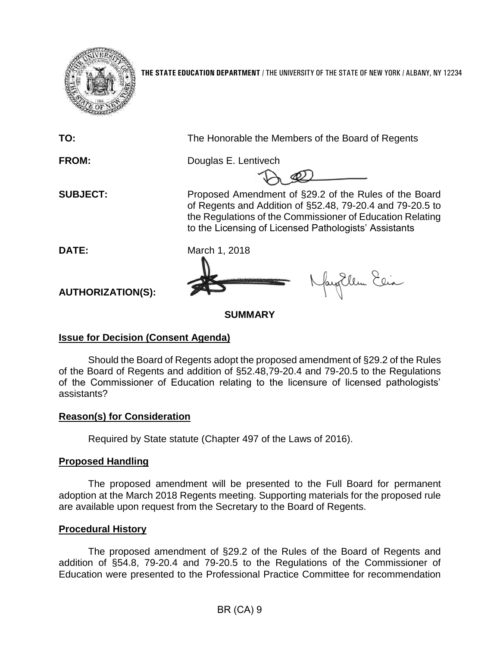

**THE STATE EDUCATION DEPARTMENT** / THE UNIVERSITY OF THE STATE OF NEW YORK / ALBANY, NY 12234

**TO:** The Honorable the Members of the Board of Regents **FROM:** Douglas E. Lentivech **SUBJECT:** Proposed Amendment of §29.2 of the Rules of the Board of Regents and Addition of §52.48, 79-20.4 and 79-20.5 to the Regulations of the Commissioner of Education Relating to the Licensing of Licensed Pathologists' Assistants **DATE:** March 1, 2018 fayillen Elia **AUTHORIZATION(S): SUMMARY**

## **Issue for Decision (Consent Agenda)**

Should the Board of Regents adopt the proposed amendment of §29.2 of the Rules of the Board of Regents and addition of §52.48,79-20.4 and 79-20.5 to the Regulations of the Commissioner of Education relating to the licensure of licensed pathologists' assistants?

# **Reason(s) for Consideration**

Required by State statute (Chapter 497 of the Laws of 2016).

# **Proposed Handling**

The proposed amendment will be presented to the Full Board for permanent adoption at the March 2018 Regents meeting. Supporting materials for the proposed rule are available upon request from the Secretary to the Board of Regents.

## **Procedural History**

The proposed amendment of §29.2 of the Rules of the Board of Regents and addition of §54.8, 79-20.4 and 79-20.5 to the Regulations of the Commissioner of Education were presented to the Professional Practice Committee for recommendation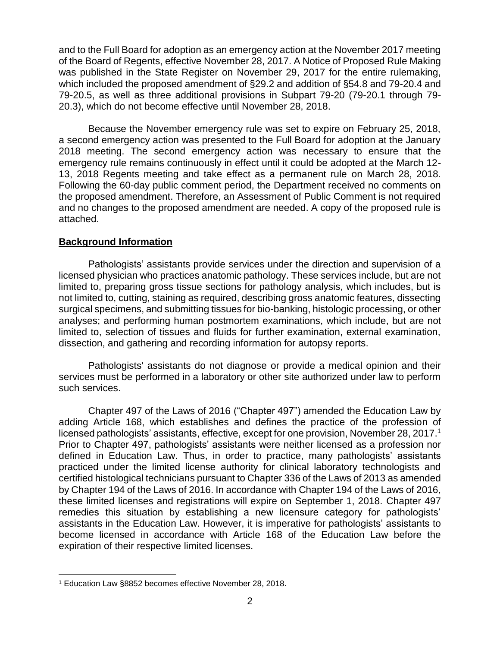and to the Full Board for adoption as an emergency action at the November 2017 meeting of the Board of Regents, effective November 28, 2017. A Notice of Proposed Rule Making was published in the State Register on November 29, 2017 for the entire rulemaking. which included the proposed amendment of §29.2 and addition of §54.8 and 79-20.4 and 79-20.5, as well as three additional provisions in Subpart 79-20 (79-20.1 through 79- 20.3), which do not become effective until November 28, 2018.

Because the November emergency rule was set to expire on February 25, 2018, a second emergency action was presented to the Full Board for adoption at the January 2018 meeting. The second emergency action was necessary to ensure that the emergency rule remains continuously in effect until it could be adopted at the March 12- 13, 2018 Regents meeting and take effect as a permanent rule on March 28, 2018. Following the 60-day public comment period, the Department received no comments on the proposed amendment. Therefore, an Assessment of Public Comment is not required and no changes to the proposed amendment are needed. A copy of the proposed rule is attached.

# **Background Information**

Pathologists' assistants provide services under the direction and supervision of a licensed physician who practices anatomic pathology. These services include, but are not limited to, preparing gross tissue sections for pathology analysis, which includes, but is not limited to, cutting, staining as required, describing gross anatomic features, dissecting surgical specimens, and submitting tissues for bio-banking, histologic processing, or other analyses; and performing human postmortem examinations, which include, but are not limited to, selection of tissues and fluids for further examination, external examination, dissection, and gathering and recording information for autopsy reports.

Pathologists' assistants do not diagnose or provide a medical opinion and their services must be performed in a laboratory or other site authorized under law to perform such services.

Chapter 497 of the Laws of 2016 ("Chapter 497") amended the Education Law by adding Article 168, which establishes and defines the practice of the profession of licensed pathologists' assistants, effective, except for one provision, November 28, 2017. 1 Prior to Chapter 497, pathologists' assistants were neither licensed as a profession nor defined in Education Law. Thus, in order to practice, many pathologists' assistants practiced under the limited license authority for clinical laboratory technologists and certified histological technicians pursuant to Chapter 336 of the Laws of 2013 as amended by Chapter 194 of the Laws of 2016. In accordance with Chapter 194 of the Laws of 2016, these limited licenses and registrations will expire on September 1, 2018. Chapter 497 remedies this situation by establishing a new licensure category for pathologists' assistants in the Education Law. However, it is imperative for pathologists' assistants to become licensed in accordance with Article 168 of the Education Law before the expiration of their respective limited licenses.

 $\overline{a}$ <sup>1</sup> Education Law §8852 becomes effective November 28, 2018.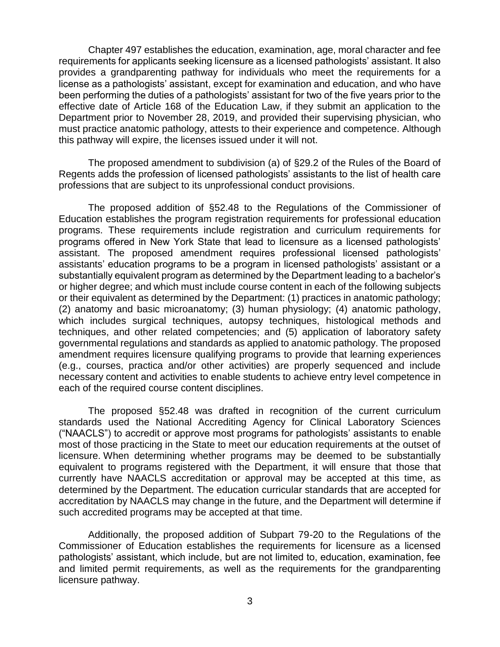Chapter 497 establishes the education, examination, age, moral character and fee requirements for applicants seeking licensure as a licensed pathologists' assistant. It also provides a grandparenting pathway for individuals who meet the requirements for a license as a pathologists' assistant, except for examination and education, and who have been performing the duties of a pathologists' assistant for two of the five years prior to the effective date of Article 168 of the Education Law, if they submit an application to the Department prior to November 28, 2019, and provided their supervising physician, who must practice anatomic pathology, attests to their experience and competence. Although this pathway will expire, the licenses issued under it will not.

The proposed amendment to subdivision (a) of §29.2 of the Rules of the Board of Regents adds the profession of licensed pathologists' assistants to the list of health care professions that are subject to its unprofessional conduct provisions.

The proposed addition of §52.48 to the Regulations of the Commissioner of Education establishes the program registration requirements for professional education programs. These requirements include registration and curriculum requirements for programs offered in New York State that lead to licensure as a licensed pathologists' assistant. The proposed amendment requires professional licensed pathologists' assistants' education programs to be a program in licensed pathologists' assistant or a substantially equivalent program as determined by the Department leading to a bachelor's or higher degree; and which must include course content in each of the following subjects or their equivalent as determined by the Department: (1) practices in anatomic pathology; (2) anatomy and basic microanatomy; (3) human physiology; (4) anatomic pathology, which includes surgical techniques, autopsy techniques, histological methods and techniques, and other related competencies; and (5) application of laboratory safety governmental regulations and standards as applied to anatomic pathology. The proposed amendment requires licensure qualifying programs to provide that learning experiences (e.g., courses, practica and/or other activities) are properly sequenced and include necessary content and activities to enable students to achieve entry level competence in each of the required course content disciplines.

The proposed §52.48 was drafted in recognition of the current curriculum standards used the National Accrediting Agency for Clinical Laboratory Sciences ("NAACLS") to accredit or approve most programs for pathologists' assistants to enable most of those practicing in the State to meet our education requirements at the outset of licensure. When determining whether programs may be deemed to be substantially equivalent to programs registered with the Department, it will ensure that those that currently have NAACLS accreditation or approval may be accepted at this time, as determined by the Department. The education curricular standards that are accepted for accreditation by NAACLS may change in the future, and the Department will determine if such accredited programs may be accepted at that time.

Additionally, the proposed addition of Subpart 79-20 to the Regulations of the Commissioner of Education establishes the requirements for licensure as a licensed pathologists' assistant, which include, but are not limited to, education, examination, fee and limited permit requirements, as well as the requirements for the grandparenting licensure pathway.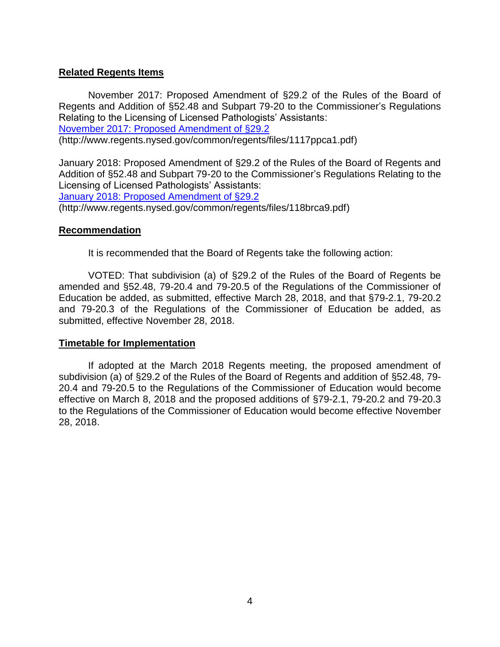#### **Related Regents Items**

November 2017: Proposed Amendment of §29.2 of the Rules of the Board of Regents and Addition of §52.48 and Subpart 79-20 to the Commissioner's Regulations Relating to the Licensing of Licensed Pathologists' Assistants:

[November 2017: Proposed Amendment of §29.2](http://www.regents.nysed.gov/common/regents/files/1117ppca1.pdf)

(http://www.regents.nysed.gov/common/regents/files/1117ppca1.pdf)

January 2018: Proposed Amendment of §29.2 of the Rules of the Board of Regents and Addition of §52.48 and Subpart 79-20 to the Commissioner's Regulations Relating to the Licensing of Licensed Pathologists' Assistants:

[January 2018: Proposed Amendment of §29.2](http://www.regents.nysed.gov/common/regents/files/118brca9.pdf)

(http://www.regents.nysed.gov/common/regents/files/118brca9.pdf)

#### **Recommendation**

It is recommended that the Board of Regents take the following action:

VOTED: That subdivision (a) of §29.2 of the Rules of the Board of Regents be amended and §52.48, 79-20.4 and 79-20.5 of the Regulations of the Commissioner of Education be added, as submitted, effective March 28, 2018, and that §79-2.1, 79-20.2 and 79-20.3 of the Regulations of the Commissioner of Education be added, as submitted, effective November 28, 2018.

#### **Timetable for Implementation**

If adopted at the March 2018 Regents meeting, the proposed amendment of subdivision (a) of §29.2 of the Rules of the Board of Regents and addition of §52.48, 79- 20.4 and 79-20.5 to the Regulations of the Commissioner of Education would become effective on March 8, 2018 and the proposed additions of §79-2.1, 79-20.2 and 79-20.3 to the Regulations of the Commissioner of Education would become effective November 28, 2018.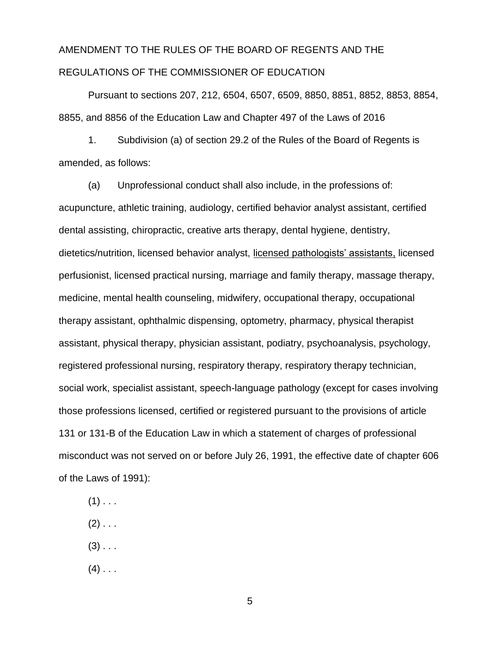# AMENDMENT TO THE RULES OF THE BOARD OF REGENTS AND THE REGULATIONS OF THE COMMISSIONER OF EDUCATION

Pursuant to sections 207, 212, 6504, 6507, 6509, 8850, 8851, 8852, 8853, 8854, 8855, and 8856 of the Education Law and Chapter 497 of the Laws of 2016

1. Subdivision (a) of section 29.2 of the Rules of the Board of Regents is amended, as follows:

(a) Unprofessional conduct shall also include, in the professions of: acupuncture, athletic training, audiology, certified behavior analyst assistant, certified dental assisting, chiropractic, creative arts therapy, dental hygiene, dentistry, dietetics/nutrition, licensed behavior analyst, licensed pathologists' assistants, licensed perfusionist, licensed practical nursing, marriage and family therapy, massage therapy, medicine, mental health counseling, midwifery, occupational therapy, occupational therapy assistant, ophthalmic dispensing, optometry, pharmacy, physical therapist assistant, physical therapy, physician assistant, podiatry, psychoanalysis, psychology, registered professional nursing, respiratory therapy, respiratory therapy technician, social work, specialist assistant, speech-language pathology (except for cases involving those professions licensed, certified or registered pursuant to the provisions of article 131 or 131-B of the Education Law in which a statement of charges of professional misconduct was not served on or before July 26, 1991, the effective date of chapter 606 of the Laws of 1991):

- $(1)$  . . .
- $(2)$  . . .
- $(3)$  . . .
- $(4)$  . . .

5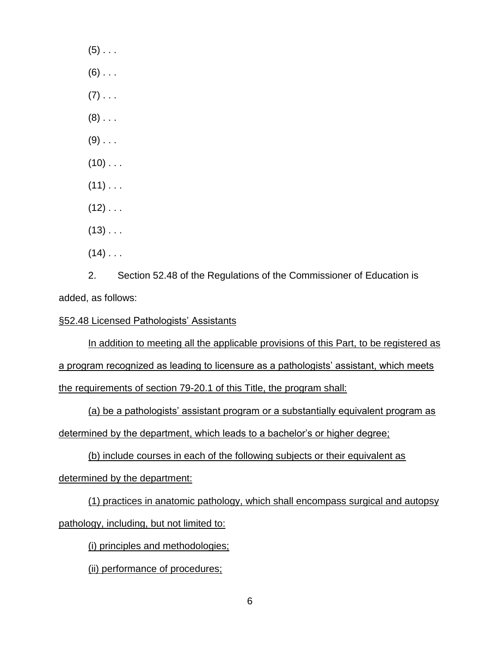$(5)$  . . .  $(6)$  . . .  $(7)$  . . .  $(8)$  . . .  $(9)$  . . .  $(10)$  . . .  $(11)$  . . .  $(12)$  . . .  $(13)$  . . .  $(14)$  . . .

2. Section 52.48 of the Regulations of the Commissioner of Education is added, as follows:

#### §52.48 Licensed Pathologists' Assistants

In addition to meeting all the applicable provisions of this Part, to be registered as

a program recognized as leading to licensure as a pathologists' assistant, which meets the requirements of section 79-20.1 of this Title, the program shall:

(a) be a pathologists' assistant program or a substantially equivalent program as determined by the department, which leads to a bachelor's or higher degree;

(b) include courses in each of the following subjects or their equivalent as

determined by the department:

(1) practices in anatomic pathology, which shall encompass surgical and autopsy pathology, including, but not limited to:

(i) principles and methodologies;

(ii) performance of procedures;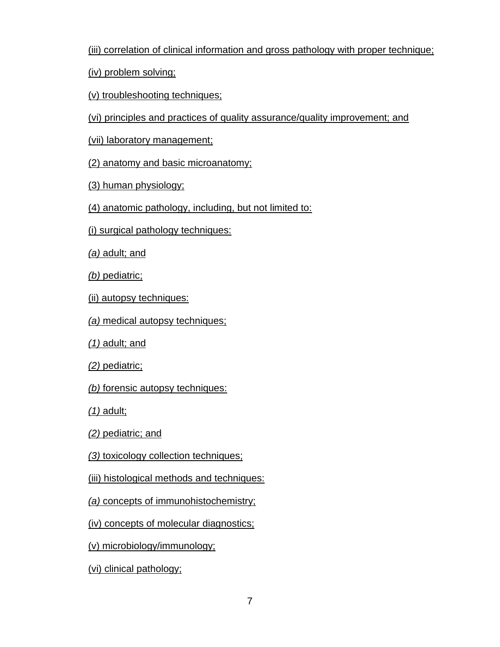(iii) correlation of clinical information and gross pathology with proper technique;

(iv) problem solving;

(v) troubleshooting techniques;

(vi) principles and practices of quality assurance/quality improvement; and

(vii) laboratory management;

(2) anatomy and basic microanatomy;

(3) human physiology;

(4) anatomic pathology, including, but not limited to:

(i) surgical pathology techniques:

*(a)* adult; and

*(b)* pediatric;

(ii) autopsy techniques:

*(a)* medical autopsy techniques;

*(1)* adult; and

*(2)* pediatric;

*(b)* forensic autopsy techniques:

*(1)* adult;

*(2)* pediatric; and

*(3)* toxicology collection techniques;

(iii) histological methods and techniques:

*(a)* concepts of immunohistochemistry;

(iv) concepts of molecular diagnostics;

(v) microbiology/immunology;

(vi) clinical pathology;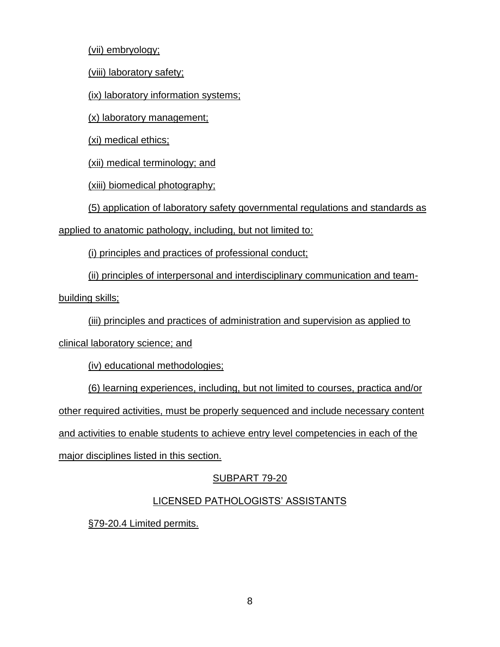(vii) embryology;

(viii) laboratory safety;

(ix) laboratory information systems;

(x) laboratory management;

(xi) medical ethics;

(xii) medical terminology; and

(xiii) biomedical photography;

(5) application of laboratory safety governmental regulations and standards as

applied to anatomic pathology, including, but not limited to:

(i) principles and practices of professional conduct;

(ii) principles of interpersonal and interdisciplinary communication and team-

building skills;

(iii) principles and practices of administration and supervision as applied to

clinical laboratory science; and

(iv) educational methodologies;

(6) learning experiences, including, but not limited to courses, practica and/or other required activities, must be properly sequenced and include necessary content and activities to enable students to achieve entry level competencies in each of the major disciplines listed in this section.

# SUBPART 79-20

# LICENSED PATHOLOGISTS' ASSISTANTS

§79-20.4 Limited permits.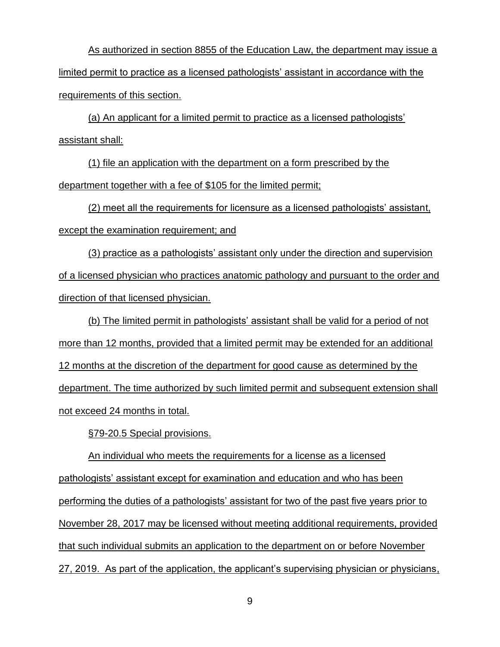As authorized in section 8855 of the Education Law, the department may issue a limited permit to practice as a licensed pathologists' assistant in accordance with the requirements of this section.

(a) An applicant for a limited permit to practice as a licensed pathologists' assistant shall:

(1) file an application with the department on a form prescribed by the department together with a fee of \$105 for the limited permit;

(2) meet all the requirements for licensure as a licensed pathologists' assistant, except the examination requirement; and

(3) practice as a pathologists' assistant only under the direction and supervision of a licensed physician who practices anatomic pathology and pursuant to the order and direction of that licensed physician.

(b) The limited permit in pathologists' assistant shall be valid for a period of not more than 12 months, provided that a limited permit may be extended for an additional 12 months at the discretion of the department for good cause as determined by the department. The time authorized by such limited permit and subsequent extension shall not exceed 24 months in total.

§79-20.5 Special provisions.

An individual who meets the requirements for a license as a licensed pathologists' assistant except for examination and education and who has been performing the duties of a pathologists' assistant for two of the past five years prior to November 28, 2017 may be licensed without meeting additional requirements, provided that such individual submits an application to the department on or before November 27, 2019. As part of the application, the applicant's supervising physician or physicians,